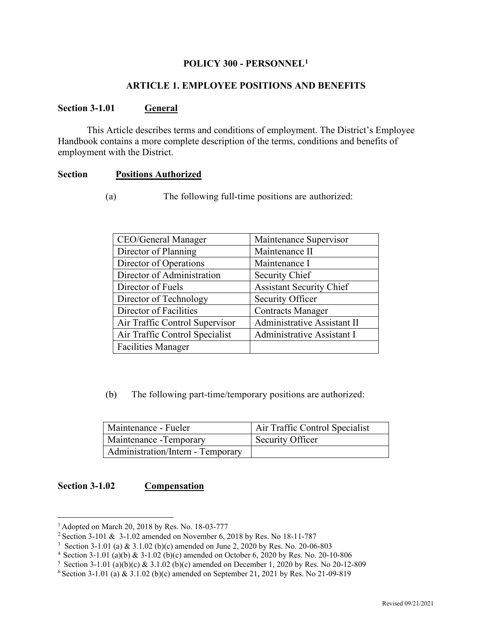#### **POLICY 300 - PERSONNEL[1](#page-0-0)**

# **ARTICLE 1. EMPLOYEE POSITIONS AND BENEFITS**

# **Section 3-1.01 General**

This Article describes terms and conditions of employment. The District's Employee Handbook contains a more complete description of the terms, conditions and benefits of employment with the District.

#### **Section Positions Authorized**

(a) The following full-time positions are authorized:

| CEO/General Manager            | Maintenance Supervisor          |  |
|--------------------------------|---------------------------------|--|
| Director of Planning           | Maintenance II                  |  |
| Director of Operations         | Maintenance I                   |  |
| Director of Administration     | Security Chief                  |  |
| Director of Fuels              | <b>Assistant Security Chief</b> |  |
| Director of Technology         | Security Officer                |  |
| Director of Facilities         | <b>Contracts Manager</b>        |  |
| Air Traffic Control Supervisor | Administrative Assistant II     |  |
| Air Traffic Control Specialist | Administrative Assistant I      |  |
| <b>Facilities Manager</b>      |                                 |  |

(b) The following part-time/temporary positions are authorized:

| Maintenance - Fueler              | Air Traffic Control Specialist |
|-----------------------------------|--------------------------------|
| Maintenance - Temporary           | Security Officer               |
| Administration/Intern - Temporary |                                |

# **Section 3-1.02 Compensation**

<span id="page-0-0"></span><sup>1</sup> Adopted on March 20, 2018 by Res. No. 18-03-777

<sup>&</sup>lt;sup>2</sup> Section 3-101 & 3-1.02 amended on November 6, 2018 by Res. No 18-11-787

<sup>3</sup> Section 3-1.01 (a) & 3.1.02 (b)(c) amended on June 2, 2020 by Res. No. 20-06-803

<sup>&</sup>lt;sup>4</sup> Section 3-1.01 (a)(b) & 3-1.02 (b)(c) amended on October 6, 2020 by Res. No. 20-10-806

 $5$  Section 3-1.01 (a)(b)(c) & 3.1.02 (b)(c) amended on December 1, 2020 by Res. No 20-12-809

 $6$  Section 3-1.01 (a) & 3.1.02 (b)(c) amended on September 21, 2021 by Res. No 21-09-819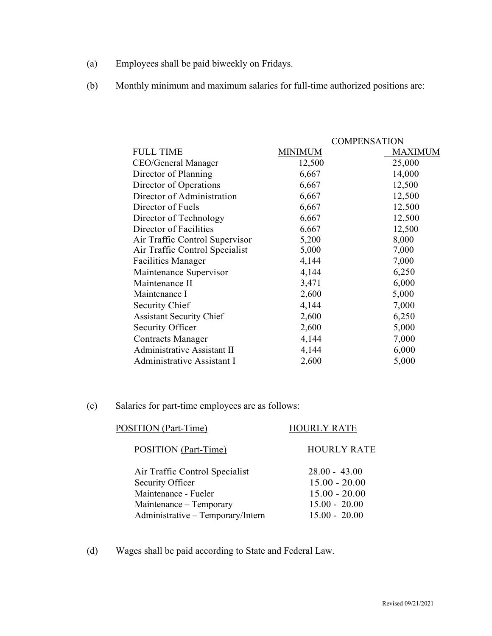- (a) Employees shall be paid biweekly on Fridays.
- (b) Monthly minimum and maximum salaries for full-time authorized positions are:

|                                 |                | <b>COMPENSATION</b> |
|---------------------------------|----------------|---------------------|
| <b>FULL TIME</b>                | <b>MINIMUM</b> | <b>MAXIMUM</b>      |
| CEO/General Manager             | 12,500         | 25,000              |
| Director of Planning            | 6,667          | 14,000              |
| Director of Operations          | 6,667          | 12,500              |
| Director of Administration      | 6,667          | 12,500              |
| Director of Fuels               | 6,667          | 12,500              |
| Director of Technology          | 6,667          | 12,500              |
| Director of Facilities          | 6,667          | 12,500              |
| Air Traffic Control Supervisor  | 5,200          | 8,000               |
| Air Traffic Control Specialist  | 5,000          | 7,000               |
| <b>Facilities Manager</b>       | 4,144          | 7,000               |
| Maintenance Supervisor          | 4,144          | 6,250               |
| Maintenance II                  | 3,471          | 6,000               |
| Maintenance I                   | 2,600          | 5,000               |
| Security Chief                  | 4,144          | 7,000               |
| <b>Assistant Security Chief</b> | 2,600          | 6,250               |
| Security Officer                | 2,600          | 5,000               |
| <b>Contracts Manager</b>        | 4,144          | 7,000               |
| Administrative Assistant II     | 4,144          | 6,000               |
| Administrative Assistant I      | 2,600          | 5,000               |

(c) Salaries for part-time employees are as follows:

| POSITION (Part-Time)              | <b>HOURLY RATE</b> |
|-----------------------------------|--------------------|
| POSITION (Part-Time)              | <b>HOURLY RATE</b> |
| Air Traffic Control Specialist    | $28.00 - 43.00$    |
| Security Officer                  | $15.00 - 20.00$    |
| Maintenance - Fueler              | $15.00 - 20.00$    |
| Maintenance – Temporary           | $15.00 - 20.00$    |
| Administrative - Temporary/Intern | $15.00 - 20.00$    |
|                                   |                    |

(d) Wages shall be paid according to State and Federal Law.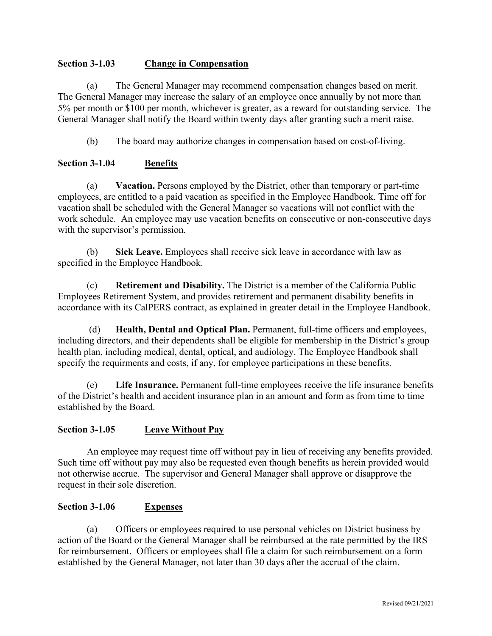# **Section 3-1.03 Change in Compensation**

(a) The General Manager may recommend compensation changes based on merit. The General Manager may increase the salary of an employee once annually by not more than 5% per month or \$100 per month, whichever is greater, as a reward for outstanding service. The General Manager shall notify the Board within twenty days after granting such a merit raise.

(b) The board may authorize changes in compensation based on cost-of-living.

# **Section 3-1.04 Benefits**

(a) **Vacation.** Persons employed by the District, other than temporary or part-time employees, are entitled to a paid vacation as specified in the Employee Handbook. Time off for vacation shall be scheduled with the General Manager so vacations will not conflict with the work schedule. An employee may use vacation benefits on consecutive or non-consecutive days with the supervisor's permission.

(b) **Sick Leave.** Employees shall receive sick leave in accordance with law as specified in the Employee Handbook.

(c) **Retirement and Disability.** The District is a member of the California Public Employees Retirement System, and provides retirement and permanent disability benefits in accordance with its CalPERS contract, as explained in greater detail in the Employee Handbook.

(d) **Health, Dental and Optical Plan.** Permanent, full-time officers and employees, including directors, and their dependents shall be eligible for membership in the District's group health plan, including medical, dental, optical, and audiology. The Employee Handbook shall specify the requirments and costs, if any, for employee participations in these benefits.

(e) **Life Insurance.** Permanent full-time employees receive the life insurance benefits of the District's health and accident insurance plan in an amount and form as from time to time established by the Board.

# **Section 3-1.05 Leave Without Pay**

An employee may request time off without pay in lieu of receiving any benefits provided. Such time off without pay may also be requested even though benefits as herein provided would not otherwise accrue. The supervisor and General Manager shall approve or disapprove the request in their sole discretion.

# **Section 3-1.06 Expenses**

(a) Officers or employees required to use personal vehicles on District business by action of the Board or the General Manager shall be reimbursed at the rate permitted by the IRS for reimbursement. Officers or employees shall file a claim for such reimbursement on a form established by the General Manager, not later than 30 days after the accrual of the claim.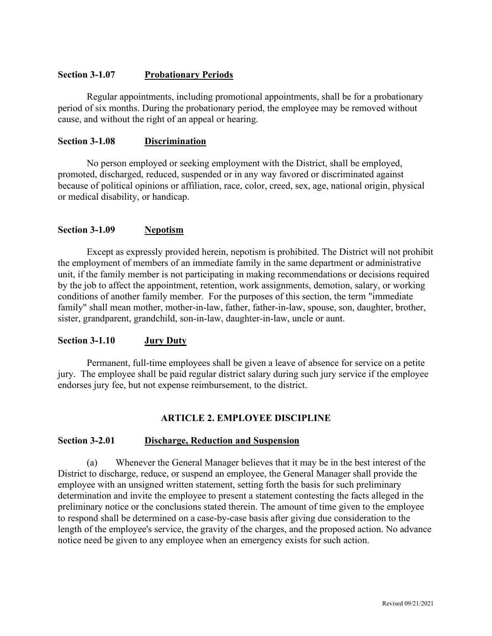# **Section 3-1.07 Probationary Periods**

Regular appointments, including promotional appointments, shall be for a probationary period of six months. During the probationary period, the employee may be removed without cause, and without the right of an appeal or hearing.

# **Section 3-1.08 Discrimination**

No person employed or seeking employment with the District, shall be employed, promoted, discharged, reduced, suspended or in any way favored or discriminated against because of political opinions or affiliation, race, color, creed, sex, age, national origin, physical or medical disability, or handicap.

# **Section 3-1.09 Nepotism**

Except as expressly provided herein, nepotism is prohibited. The District will not prohibit the employment of members of an immediate family in the same department or administrative unit, if the family member is not participating in making recommendations or decisions required by the job to affect the appointment, retention, work assignments, demotion, salary, or working conditions of another family member. For the purposes of this section, the term "immediate family" shall mean mother, mother-in-law, father, father-in-law, spouse, son, daughter, brother, sister, grandparent, grandchild, son-in-law, daughter-in-law, uncle or aunt.

#### **Section 3-1.10 Jury Duty**

Permanent, full-time employees shall be given a leave of absence for service on a petite jury. The employee shall be paid regular district salary during such jury service if the employee endorses jury fee, but not expense reimbursement, to the district.

# **ARTICLE 2. EMPLOYEE DISCIPLINE**

#### **Section 3-2.01 Discharge, Reduction and Suspension**

(a) Whenever the General Manager believes that it may be in the best interest of the District to discharge, reduce, or suspend an employee, the General Manager shall provide the employee with an unsigned written statement, setting forth the basis for such preliminary determination and invite the employee to present a statement contesting the facts alleged in the preliminary notice or the conclusions stated therein. The amount of time given to the employee to respond shall be determined on a case-by-case basis after giving due consideration to the length of the employee's service, the gravity of the charges, and the proposed action. No advance notice need be given to any employee when an emergency exists for such action.